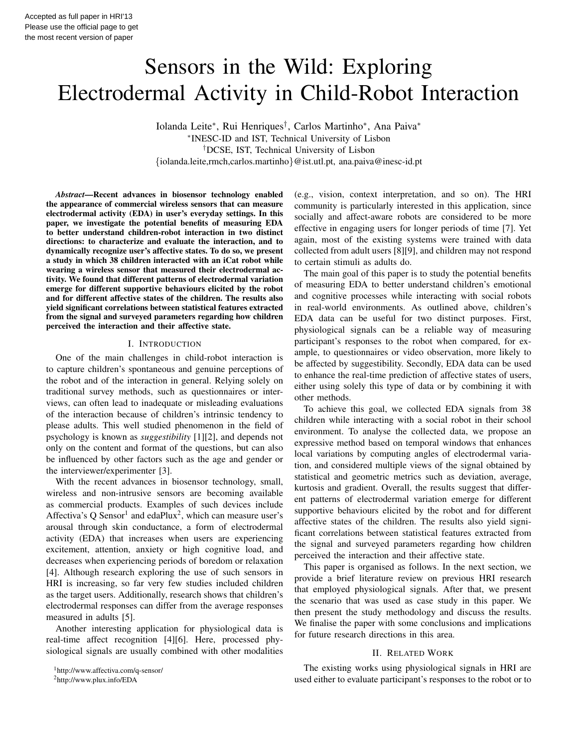# Sensors in the Wild: Exploring Electrodermal Activity in Child-Robot Interaction

Iolanda Leite<sup>∗</sup> , Rui Henriques† , Carlos Martinho<sup>∗</sup> , Ana Paiva<sup>∗</sup> ∗ INESC-ID and IST, Technical University of Lisbon †DCSE, IST, Technical University of Lisbon {iolanda.leite,rmch,carlos.martinho}@ist.utl.pt, ana.paiva@inesc-id.pt

*Abstract*—Recent advances in biosensor technology enabled the appearance of commercial wireless sensors that can measure electrodermal activity (EDA) in user's everyday settings. In this paper, we investigate the potential benefits of measuring EDA to better understand children-robot interaction in two distinct directions: to characterize and evaluate the interaction, and to dynamically recognize user's affective states. To do so, we present a study in which 38 children interacted with an iCat robot while wearing a wireless sensor that measured their electrodermal activity. We found that different patterns of electrodermal variation emerge for different supportive behaviours elicited by the robot and for different affective states of the children. The results also yield significant correlations between statistical features extracted from the signal and surveyed parameters regarding how children perceived the interaction and their affective state.

#### I. INTRODUCTION

One of the main challenges in child-robot interaction is to capture children's spontaneous and genuine perceptions of the robot and of the interaction in general. Relying solely on traditional survey methods, such as questionnaires or interviews, can often lead to inadequate or misleading evaluations of the interaction because of children's intrinsic tendency to please adults. This well studied phenomenon in the field of psychology is known as *suggestibility* [1][2], and depends not only on the content and format of the questions, but can also be influenced by other factors such as the age and gender or the interviewer/experimenter [3].

With the recent advances in biosensor technology, small, wireless and non-intrusive sensors are becoming available as commercial products. Examples of such devices include Affectiva's Q Sensor<sup>1</sup> and edaPlux<sup>2</sup>, which can measure user's arousal through skin conductance, a form of electrodermal activity (EDA) that increases when users are experiencing excitement, attention, anxiety or high cognitive load, and decreases when experiencing periods of boredom or relaxation [4]. Although research exploring the use of such sensors in HRI is increasing, so far very few studies included children as the target users. Additionally, research shows that children's electrodermal responses can differ from the average responses measured in adults [5].

Another interesting application for physiological data is real-time affect recognition [4][6]. Here, processed physiological signals are usually combined with other modalities

<sup>2</sup>http://www.plux.info/EDA

(e.g., vision, context interpretation, and so on). The HRI community is particularly interested in this application, since socially and affect-aware robots are considered to be more effective in engaging users for longer periods of time [7]. Yet again, most of the existing systems were trained with data collected from adult users [8][9], and children may not respond to certain stimuli as adults do.

The main goal of this paper is to study the potential benefits of measuring EDA to better understand children's emotional and cognitive processes while interacting with social robots in real-world environments. As outlined above, children's EDA data can be useful for two distinct purposes. First, physiological signals can be a reliable way of measuring participant's responses to the robot when compared, for example, to questionnaires or video observation, more likely to be affected by suggestibility. Secondly, EDA data can be used to enhance the real-time prediction of affective states of users, either using solely this type of data or by combining it with other methods.

To achieve this goal, we collected EDA signals from 38 children while interacting with a social robot in their school environment. To analyse the collected data, we propose an expressive method based on temporal windows that enhances local variations by computing angles of electrodermal variation, and considered multiple views of the signal obtained by statistical and geometric metrics such as deviation, average, kurtosis and gradient. Overall, the results suggest that different patterns of electrodermal variation emerge for different supportive behaviours elicited by the robot and for different affective states of the children. The results also yield significant correlations between statistical features extracted from the signal and surveyed parameters regarding how children perceived the interaction and their affective state.

This paper is organised as follows. In the next section, we provide a brief literature review on previous HRI research that employed physiological signals. After that, we present the scenario that was used as case study in this paper. We then present the study methodology and discuss the results. We finalise the paper with some conclusions and implications for future research directions in this area.

# II. RELATED WORK

The existing works using physiological signals in HRI are used either to evaluate participant's responses to the robot or to

<sup>1</sup>http://www.affectiva.com/q-sensor/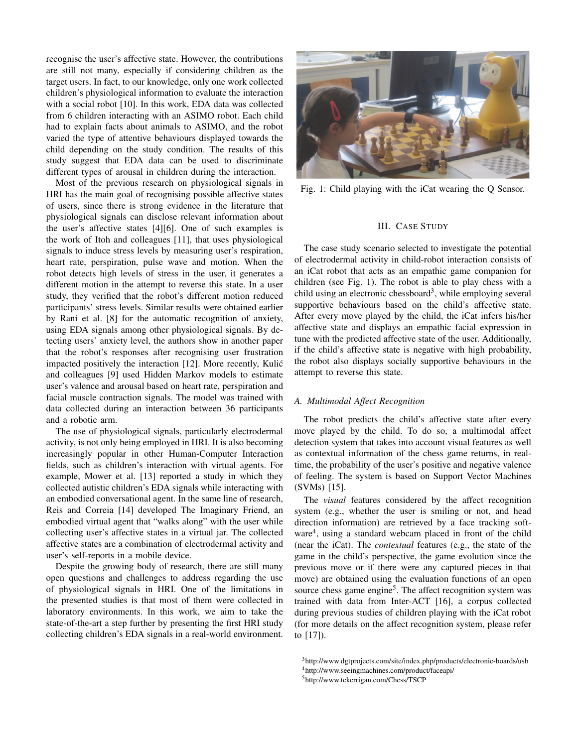recognise the user's affective state. However, the contributions are still not many, especially if considering children as the target users. In fact, to our knowledge, only one work collected children's physiological information to evaluate the interaction with a social robot [10]. In this work, EDA data was collected from 6 children interacting with an ASIMO robot. Each child had to explain facts about animals to ASIMO, and the robot varied the type of attentive behaviours displayed towards the child depending on the study condition. The results of this study suggest that EDA data can be used to discriminate different types of arousal in children during the interaction.

Most of the previous research on physiological signals in HRI has the main goal of recognising possible affective states of users, since there is strong evidence in the literature that physiological signals can disclose relevant information about the user's affective states [4][6]. One of such examples is the work of Itoh and colleagues [11], that uses physiological signals to induce stress levels by measuring user's respiration, heart rate, perspiration, pulse wave and motion. When the robot detects high levels of stress in the user, it generates a different motion in the attempt to reverse this state. In a user study, they verified that the robot's different motion reduced participants' stress levels. Similar results were obtained earlier by Rani et al. [8] for the automatic recognition of anxiety, using EDA signals among other physiological signals. By detecting users' anxiety level, the authors show in another paper that the robot's responses after recognising user frustration impacted positively the interaction [12]. More recently, Kulić and colleagues [9] used Hidden Markov models to estimate user's valence and arousal based on heart rate, perspiration and facial muscle contraction signals. The model was trained with data collected during an interaction between 36 participants and a robotic arm.

The use of physiological signals, particularly electrodermal activity, is not only being employed in HRI. It is also becoming increasingly popular in other Human-Computer Interaction fields, such as children's interaction with virtual agents. For example, Mower et al. [13] reported a study in which they collected autistic children's EDA signals while interacting with an embodied conversational agent. In the same line of research, Reis and Correia [14] developed The Imaginary Friend, an embodied virtual agent that "walks along" with the user while collecting user's affective states in a virtual jar. The collected affective states are a combination of electrodermal activity and user's self-reports in a mobile device.

Despite the growing body of research, there are still many open questions and challenges to address regarding the use of physiological signals in HRI. One of the limitations in the presented studies is that most of them were collected in laboratory environments. In this work, we aim to take the state-of-the-art a step further by presenting the first HRI study collecting children's EDA signals in a real-world environment.



Fig. 1: Child playing with the iCat wearing the Q Sensor.

#### III. CASE STUDY

The case study scenario selected to investigate the potential of electrodermal activity in child-robot interaction consists of an iCat robot that acts as an empathic game companion for children (see Fig. 1). The robot is able to play chess with a child using an electronic chessboard<sup>3</sup>, while employing several supportive behaviours based on the child's affective state. After every move played by the child, the iCat infers his/her affective state and displays an empathic facial expression in tune with the predicted affective state of the user. Additionally, if the child's affective state is negative with high probability, the robot also displays socially supportive behaviours in the attempt to reverse this state.

#### *A. Multimodal Affect Recognition*

The robot predicts the child's affective state after every move played by the child. To do so, a multimodal affect detection system that takes into account visual features as well as contextual information of the chess game returns, in realtime, the probability of the user's positive and negative valence of feeling. The system is based on Support Vector Machines (SVMs) [15].

The *visual* features considered by the affect recognition system (e.g., whether the user is smiling or not, and head direction information) are retrieved by a face tracking software<sup>4</sup>, using a standard webcam placed in front of the child (near the iCat). The *contextual* features (e.g., the state of the game in the child's perspective, the game evolution since the previous move or if there were any captured pieces in that move) are obtained using the evaluation functions of an open source chess game engine<sup>5</sup>. The affect recognition system was trained with data from Inter-ACT [16], a corpus collected during previous studies of children playing with the iCat robot (for more details on the affect recognition system, please refer to [17]).

<sup>3</sup>http://www.dgtprojects.com/site/index.php/products/electronic-boards/usb

<sup>4</sup>http://www.seeingmachines.com/product/faceapi/

<sup>5</sup>http://www.tckerrigan.com/Chess/TSCP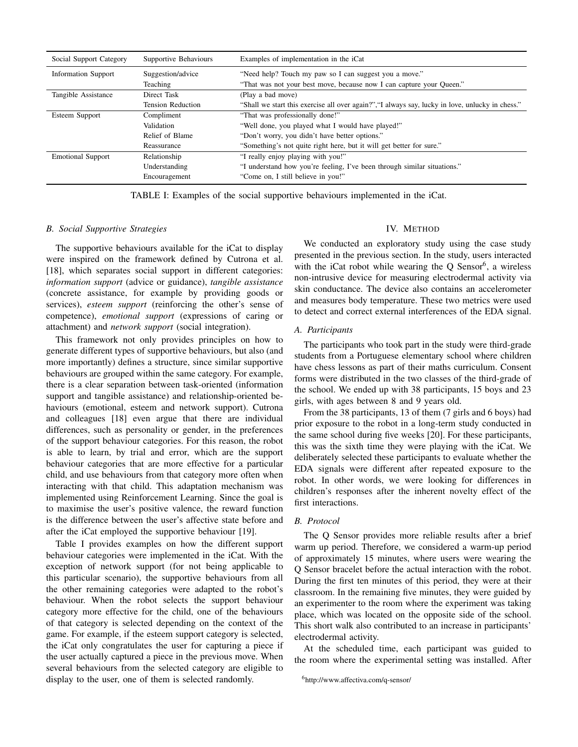| Social Support Category    | Supportive Behaviours    | Examples of implementation in the iCat                                                          |  |  |  |
|----------------------------|--------------------------|-------------------------------------------------------------------------------------------------|--|--|--|
| <b>Information Support</b> | Suggestion/advice        | "Need help? Touch my paw so I can suggest you a move."                                          |  |  |  |
|                            | Teaching                 | "That was not your best move, because now I can capture your Queen."                            |  |  |  |
| Tangible Assistance        | Direct Task              | (Play a bad move)                                                                               |  |  |  |
|                            | <b>Tension Reduction</b> | "Shall we start this exercise all over again?","I always say, lucky in love, unlucky in chess." |  |  |  |
| Esteem Support             | Compliment               | "That was professionally done!"                                                                 |  |  |  |
|                            | Validation               | "Well done, you played what I would have played!"                                               |  |  |  |
|                            | Relief of Blame          | "Don't worry, you didn't have better options."                                                  |  |  |  |
|                            | Reassurance              | "Something's not quite right here, but it will get better for sure."                            |  |  |  |
| <b>Emotional Support</b>   | Relationship             | "I really enjoy playing with you!"                                                              |  |  |  |
|                            | Understanding            | "I understand how you're feeling, I've been through similar situations."                        |  |  |  |
|                            | Encouragement            | "Come on, I still believe in you!"                                                              |  |  |  |

TABLE I: Examples of the social supportive behaviours implemented in the iCat.

## *B. Social Supportive Strategies*

The supportive behaviours available for the iCat to display were inspired on the framework defined by Cutrona et al. [18], which separates social support in different categories: *information support* (advice or guidance), *tangible assistance* (concrete assistance, for example by providing goods or services), *esteem support* (reinforcing the other's sense of competence), *emotional support* (expressions of caring or attachment) and *network support* (social integration).

This framework not only provides principles on how to generate different types of supportive behaviours, but also (and more importantly) defines a structure, since similar supportive behaviours are grouped within the same category. For example, there is a clear separation between task-oriented (information support and tangible assistance) and relationship-oriented behaviours (emotional, esteem and network support). Cutrona and colleagues [18] even argue that there are individual differences, such as personality or gender, in the preferences of the support behaviour categories. For this reason, the robot is able to learn, by trial and error, which are the support behaviour categories that are more effective for a particular child, and use behaviours from that category more often when interacting with that child. This adaptation mechanism was implemented using Reinforcement Learning. Since the goal is to maximise the user's positive valence, the reward function is the difference between the user's affective state before and after the iCat employed the supportive behaviour [19].

Table I provides examples on how the different support behaviour categories were implemented in the iCat. With the exception of network support (for not being applicable to this particular scenario), the supportive behaviours from all the other remaining categories were adapted to the robot's behaviour. When the robot selects the support behaviour category more effective for the child, one of the behaviours of that category is selected depending on the context of the game. For example, if the esteem support category is selected, the iCat only congratulates the user for capturing a piece if the user actually captured a piece in the previous move. When several behaviours from the selected category are eligible to display to the user, one of them is selected randomly.

# IV. METHOD

We conducted an exploratory study using the case study presented in the previous section. In the study, users interacted with the iCat robot while wearing the  $Q$  Sensor<sup>6</sup>, a wireless non-intrusive device for measuring electrodermal activity via skin conductance. The device also contains an accelerometer and measures body temperature. These two metrics were used to detect and correct external interferences of the EDA signal.

### *A. Participants*

The participants who took part in the study were third-grade students from a Portuguese elementary school where children have chess lessons as part of their maths curriculum. Consent forms were distributed in the two classes of the third-grade of the school. We ended up with 38 participants, 15 boys and 23 girls, with ages between 8 and 9 years old.

From the 38 participants, 13 of them (7 girls and 6 boys) had prior exposure to the robot in a long-term study conducted in the same school during five weeks [20]. For these participants, this was the sixth time they were playing with the iCat. We deliberately selected these participants to evaluate whether the EDA signals were different after repeated exposure to the robot. In other words, we were looking for differences in children's responses after the inherent novelty effect of the first interactions.

# *B. Protocol*

The Q Sensor provides more reliable results after a brief warm up period. Therefore, we considered a warm-up period of approximately 15 minutes, where users were wearing the Q Sensor bracelet before the actual interaction with the robot. During the first ten minutes of this period, they were at their classroom. In the remaining five minutes, they were guided by an experimenter to the room where the experiment was taking place, which was located on the opposite side of the school. This short walk also contributed to an increase in participants' electrodermal activity.

At the scheduled time, each participant was guided to the room where the experimental setting was installed. After

<sup>6</sup>http://www.affectiva.com/q-sensor/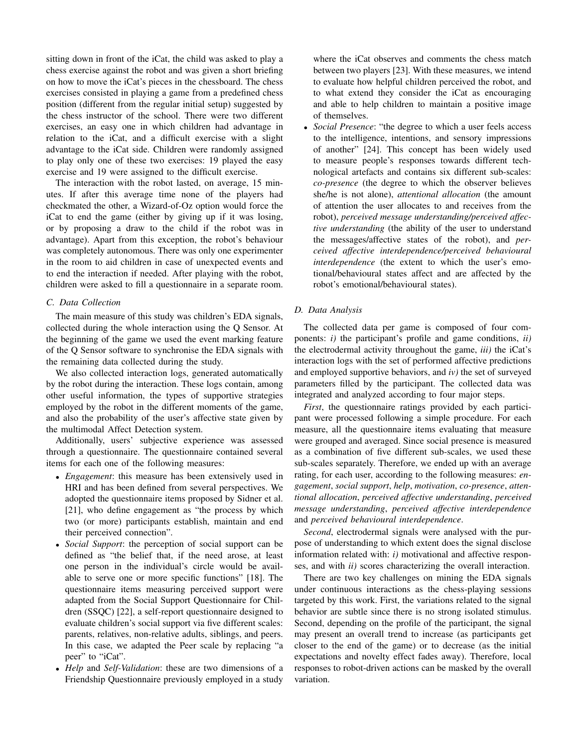sitting down in front of the iCat, the child was asked to play a chess exercise against the robot and was given a short briefing on how to move the iCat's pieces in the chessboard. The chess exercises consisted in playing a game from a predefined chess position (different from the regular initial setup) suggested by the chess instructor of the school. There were two different exercises, an easy one in which children had advantage in relation to the iCat, and a difficult exercise with a slight advantage to the iCat side. Children were randomly assigned to play only one of these two exercises: 19 played the easy exercise and 19 were assigned to the difficult exercise.

The interaction with the robot lasted, on average, 15 minutes. If after this average time none of the players had checkmated the other, a Wizard-of-Oz option would force the iCat to end the game (either by giving up if it was losing, or by proposing a draw to the child if the robot was in advantage). Apart from this exception, the robot's behaviour was completely autonomous. There was only one experimenter in the room to aid children in case of unexpected events and to end the interaction if needed. After playing with the robot, children were asked to fill a questionnaire in a separate room.

# *C. Data Collection*

The main measure of this study was children's EDA signals, collected during the whole interaction using the Q Sensor. At the beginning of the game we used the event marking feature of the Q Sensor software to synchronise the EDA signals with the remaining data collected during the study.

We also collected interaction logs, generated automatically by the robot during the interaction. These logs contain, among other useful information, the types of supportive strategies employed by the robot in the different moments of the game, and also the probability of the user's affective state given by the multimodal Affect Detection system.

Additionally, users' subjective experience was assessed through a questionnaire. The questionnaire contained several items for each one of the following measures:

- *Engagement*: this measure has been extensively used in HRI and has been defined from several perspectives. We adopted the questionnaire items proposed by Sidner et al. [21], who define engagement as "the process by which two (or more) participants establish, maintain and end their perceived connection".
- *Social Support*: the perception of social support can be defined as "the belief that, if the need arose, at least one person in the individual's circle would be available to serve one or more specific functions" [18]. The questionnaire items measuring perceived support were adapted from the Social Support Questionnaire for Children (SSQC) [22], a self-report questionnaire designed to evaluate children's social support via five different scales: parents, relatives, non-relative adults, siblings, and peers. In this case, we adapted the Peer scale by replacing "a peer" to "iCat".
- *Help* and *Self-Validation*: these are two dimensions of a Friendship Questionnaire previously employed in a study

where the iCat observes and comments the chess match between two players [23]. With these measures, we intend to evaluate how helpful children perceived the robot, and to what extend they consider the iCat as encouraging and able to help children to maintain a positive image of themselves.

• *Social Presence*: "the degree to which a user feels access to the intelligence, intentions, and sensory impressions of another" [24]. This concept has been widely used to measure people's responses towards different technological artefacts and contains six different sub-scales: *co-presence* (the degree to which the observer believes she/he is not alone), *attentional allocation* (the amount of attention the user allocates to and receives from the robot), *perceived message understanding/perceived affective understanding* (the ability of the user to understand the messages/affective states of the robot), and *perceived affective interdependence/perceived behavioural interdependence* (the extent to which the user's emotional/behavioural states affect and are affected by the robot's emotional/behavioural states).

## *D. Data Analysis*

The collected data per game is composed of four components: *i)* the participant's profile and game conditions, *ii)* the electrodermal activity throughout the game, *iii)* the iCat's interaction logs with the set of performed affective predictions and employed supportive behaviors, and *iv)* the set of surveyed parameters filled by the participant. The collected data was integrated and analyzed according to four major steps.

*First*, the questionnaire ratings provided by each participant were processed following a simple procedure. For each measure, all the questionnaire items evaluating that measure were grouped and averaged. Since social presence is measured as a combination of five different sub-scales, we used these sub-scales separately. Therefore, we ended up with an average rating, for each user, according to the following measures: *engagement*, *social support*, *help*, *motivation*, *co-presence*, *attentional allocation*, *perceived affective understanding*, *perceived message understanding*, *perceived affective interdependence* and *perceived behavioural interdependence*.

*Second*, electrodermal signals were analysed with the purpose of understanding to which extent does the signal disclose information related with: *i)* motivational and affective responses, and with *ii)* scores characterizing the overall interaction.

There are two key challenges on mining the EDA signals under continuous interactions as the chess-playing sessions targeted by this work. First, the variations related to the signal behavior are subtle since there is no strong isolated stimulus. Second, depending on the profile of the participant, the signal may present an overall trend to increase (as participants get closer to the end of the game) or to decrease (as the initial expectations and novelty effect fades away). Therefore, local responses to robot-driven actions can be masked by the overall variation.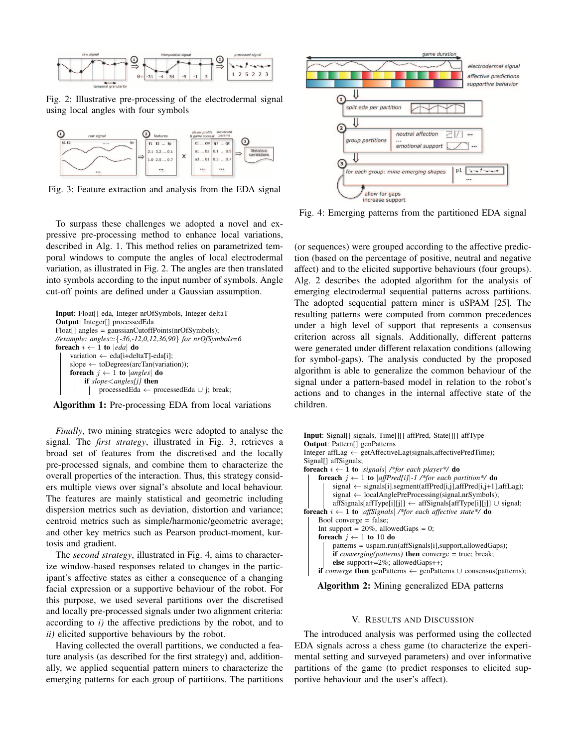

Fig. 2: Illustrative pre-processing of the electrodermal signal using local angles with four symbols



Fig. 3: Feature extraction and analysis from the EDA signal

To surpass these challenges we adopted a novel and expressive pre-processing method to enhance local variations, described in Alg. 1. This method relies on parametrized temporal windows to compute the angles of local electrodermal variation, as illustrated in Fig. 2. The angles are then translated into symbols according to the input number of symbols. Angle cut-off points are defined under a Gaussian assumption.

```
Input: Float[] eda, Integer nrOfSymbols, Integer deltaT
Output: Integer[] processedEda
Float[] angles = gaussianCutoffPoints(nrOfSymbols);
//example: angles'{-36,-12,0,12,36,90} for nrOfSymbols=6
foreach i \leftarrow 1 to |eda| do
    variation ← eda[i+deltaT]-eda[i];
    slope \leftarrow toDegrees(arcTan(variation));foreach j \leftarrow 1 to |angles| do
         if slope<angles[j] then
             processedEda ← processedEda ∪ j; break;
```


*Finally*, two mining strategies were adopted to analyse the signal. The *first strategy*, illustrated in Fig. 3, retrieves a broad set of features from the discretised and the locally pre-processed signals, and combine them to characterize the overall properties of the interaction. Thus, this strategy considers multiple views over signal's absolute and local behaviour. The features are mainly statistical and geometric including dispersion metrics such as deviation, distortion and variance; centroid metrics such as simple/harmonic/geometric average; and other key metrics such as Pearson product-moment, kurtosis and gradient.

The *second strategy*, illustrated in Fig. 4, aims to characterize window-based responses related to changes in the participant's affective states as either a consequence of a changing facial expression or a supportive behaviour of the robot. For this purpose, we used several partitions over the discretised and locally pre-processed signals under two alignment criteria: according to *i)* the affective predictions by the robot, and to *ii)* elicited supportive behaviours by the robot.

Having collected the overall partitions, we conducted a feature analysis (as described for the first strategy) and, additionally, we applied sequential pattern miners to characterize the emerging patterns for each group of partitions. The partitions



Fig. 4: Emerging patterns from the partitioned EDA signal

(or sequences) were grouped according to the affective prediction (based on the percentage of positive, neutral and negative affect) and to the elicited supportive behaviours (four groups). Alg. 2 describes the adopted algorithm for the analysis of emerging electrodermal sequential patterns across partitions. The adopted sequential pattern miner is uSPAM [25]. The resulting patterns were computed from common precedences under a high level of support that represents a consensus criterion across all signals. Additionally, different patterns were generated under different relaxation conditions (allowing for symbol-gaps). The analysis conducted by the proposed algorithm is able to generalize the common behaviour of the signal under a pattern-based model in relation to the robot's actions and to changes in the internal affective state of the children.



Algorithm 2: Mining generalized EDA patterns

# V. RESULTS AND DISCUSSION

The introduced analysis was performed using the collected EDA signals across a chess game (to characterize the experimental setting and surveyed parameters) and over informative partitions of the game (to predict responses to elicited supportive behaviour and the user's affect).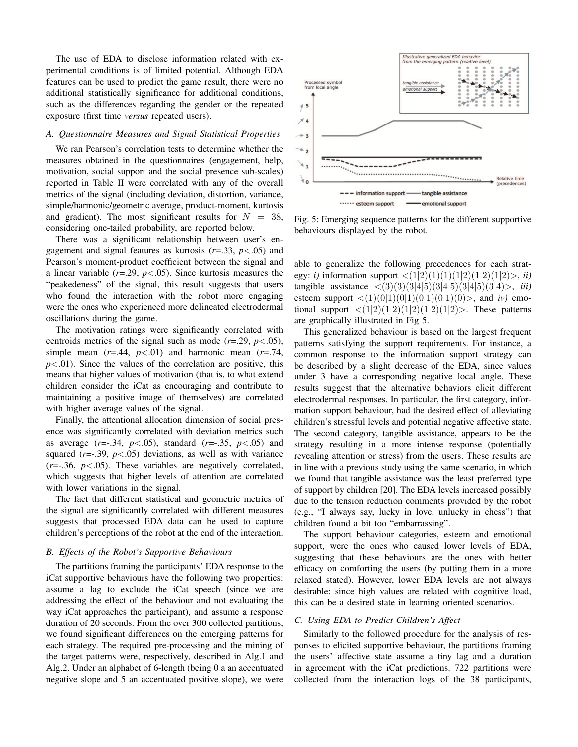The use of EDA to disclose information related with experimental conditions is of limited potential. Although EDA features can be used to predict the game result, there were no additional statistically significance for additional conditions, such as the differences regarding the gender or the repeated exposure (first time *versus* repeated users).

# *A. Questionnaire Measures and Signal Statistical Properties*

We ran Pearson's correlation tests to determine whether the measures obtained in the questionnaires (engagement, help, motivation, social support and the social presence sub-scales) reported in Table II were correlated with any of the overall metrics of the signal (including deviation, distortion, variance, simple/harmonic/geometric average, product-moment, kurtosis and gradient). The most significant results for  $N = 38$ , considering one-tailed probability, are reported below.

There was a significant relationship between user's engagement and signal features as kurtosis (*r*=.33, *p*<.05) and Pearson's moment-product coefficient between the signal and a linear variable  $(r=.29, p<.05)$ . Since kurtosis measures the "peakedeness" of the signal, this result suggests that users who found the interaction with the robot more engaging were the ones who experienced more delineated electrodermal oscillations during the game.

The motivation ratings were significantly correlated with centroids metrics of the signal such as mode  $(r=.29, p<.05)$ , simple mean  $(r=.44, p<.01)$  and harmonic mean  $(r=.74, p<.01)$  $p<.01$ ). Since the values of the correlation are positive, this means that higher values of motivation (that is, to what extend children consider the iCat as encouraging and contribute to maintaining a positive image of themselves) are correlated with higher average values of the signal.

Finally, the attentional allocation dimension of social presence was significantly correlated with deviation metrics such as average (*r*=-.34, *p*<.05), standard (*r*=-.35, *p*<.05) and squared  $(r=.39, p<.05)$  deviations, as well as with variance  $(r=-.36, p<.05)$ . These variables are negatively correlated, which suggests that higher levels of attention are correlated with lower variations in the signal.

The fact that different statistical and geometric metrics of the signal are significantly correlated with different measures suggests that processed EDA data can be used to capture children's perceptions of the robot at the end of the interaction.

#### *B. Effects of the Robot's Supportive Behaviours*

The partitions framing the participants' EDA response to the iCat supportive behaviours have the following two properties: assume a lag to exclude the iCat speech (since we are addressing the effect of the behaviour and not evaluating the way iCat approaches the participant), and assume a response duration of 20 seconds. From the over 300 collected partitions, we found significant differences on the emerging patterns for each strategy. The required pre-processing and the mining of the target patterns were, respectively, described in Alg.1 and Alg.2. Under an alphabet of 6-length (being 0 a an accentuated negative slope and 5 an accentuated positive slope), we were



Fig. 5: Emerging sequence patterns for the different supportive behaviours displayed by the robot.

able to generalize the following precedences for each strategy: *i*) information support  $\langle (1|2)(1)(1)(1|2)(1|2)\rangle$ , *ii*) tangible assistance <(3)(3)(3|4|5)(3|4|5)(3|4|5)(3|4)>, *iii)* esteem support  $\langle (1)(0|1)(0|1)(0|1)(0|1)(0) \rangle$ , and *iv*) emotional support  $\langle (1|2)(1|2)(1|2)(1|2)\rangle$ . These patterns are graphically illustrated in Fig 5.

This generalized behaviour is based on the largest frequent patterns satisfying the support requirements. For instance, a common response to the information support strategy can be described by a slight decrease of the EDA, since values under 3 have a corresponding negative local angle. These results suggest that the alternative behaviors elicit different electrodermal responses. In particular, the first category, information support behaviour, had the desired effect of alleviating children's stressful levels and potential negative affective state. The second category, tangible assistance, appears to be the strategy resulting in a more intense response (potentially revealing attention or stress) from the users. These results are in line with a previous study using the same scenario, in which we found that tangible assistance was the least preferred type of support by children [20]. The EDA levels increased possibly due to the tension reduction comments provided by the robot (e.g., "I always say, lucky in love, unlucky in chess") that children found a bit too "embarrassing".

The support behaviour categories, esteem and emotional support, were the ones who caused lower levels of EDA, suggesting that these behaviours are the ones with better efficacy on comforting the users (by putting them in a more relaxed stated). However, lower EDA levels are not always desirable: since high values are related with cognitive load, this can be a desired state in learning oriented scenarios.

## *C. Using EDA to Predict Children's Affect*

Similarly to the followed procedure for the analysis of responses to elicited supportive behaviour, the partitions framing the users' affective state assume a tiny lag and a duration in agreement with the iCat predictions. 722 partitions were collected from the interaction logs of the 38 participants,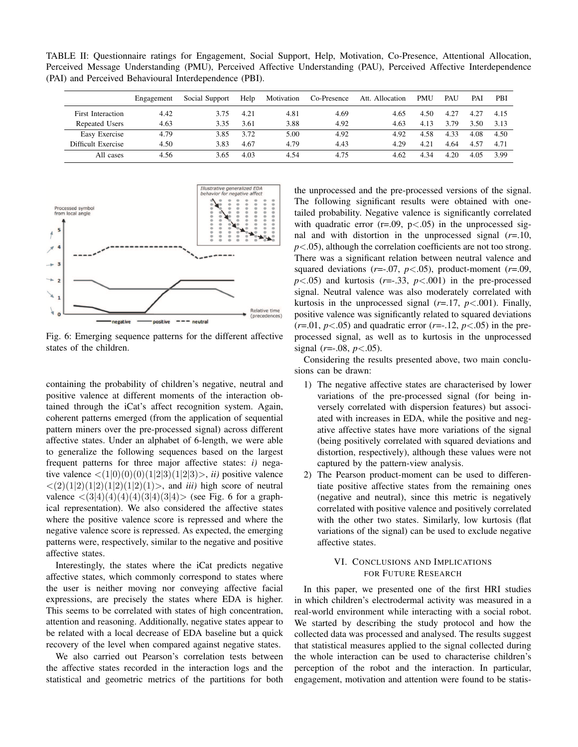TABLE II: Questionnaire ratings for Engagement, Social Support, Help, Motivation, Co-Presence, Attentional Allocation, Perceived Message Understanding (PMU), Perceived Affective Understanding (PAU), Perceived Affective Interdependence (PAI) and Perceived Behavioural Interdependence (PBI).

|                    | Engagement | Social Support | Help | Motivation | Co-Presence | Att. Allocation | <b>PMU</b> | PAU  | PAI  | PBI  |
|--------------------|------------|----------------|------|------------|-------------|-----------------|------------|------|------|------|
| First Interaction  | 4.42       | 3.75           | 4.21 | 4.81       | 4.69        | 4.65            | 4.50       | 4.27 | 4.27 | 4.15 |
| Repeated Users     | 4.63       | 3.35           | 3.61 | 3.88       | 4.92        | 4.63            | 4.13       | 3.79 | 3.50 | 3.13 |
| Easy Exercise      | 4.79       | 3.85           | 3.72 | 5.00       | 4.92        | 4.92            | 4.58       | 4.33 | 4.08 | 4.50 |
| Difficult Exercise | 4.50       | 3.83           | 4.67 | 4.79       | 4.43        | 4.29            | 4.21       | 4.64 | 4.57 | 4.71 |
| All cases          | 4.56       | 3.65           | 4.03 | 4.54       | 4.75        | 4.62            | 4.34       | 4.20 | 4.05 | 3.99 |



Fig. 6: Emerging sequence patterns for the different affective states of the children.

containing the probability of children's negative, neutral and positive valence at different moments of the interaction obtained through the iCat's affect recognition system. Again, coherent patterns emerged (from the application of sequential pattern miners over the pre-processed signal) across different affective states. Under an alphabet of 6-length, we were able to generalize the following sequences based on the largest frequent patterns for three major affective states: *i)* negative valence  $\langle (1|0)(0)(0)(1|2|3)(1|2|3)\rangle$ , *ii*) positive valence  $\langle (2)(1|2)(1|2)(1|2)(1|2)(1)$ , and *iii*) high score of neutral valence  $\langle (3|4)(4)(4)(3|4)(3|4) \rangle$  (see Fig. 6 for a graphical representation). We also considered the affective states where the positive valence score is repressed and where the negative valence score is repressed. As expected, the emerging patterns were, respectively, similar to the negative and positive affective states.

Interestingly, the states where the iCat predicts negative affective states, which commonly correspond to states where the user is neither moving nor conveying affective facial expressions, are precisely the states where EDA is higher. This seems to be correlated with states of high concentration, attention and reasoning. Additionally, negative states appear to be related with a local decrease of EDA baseline but a quick recovery of the level when compared against negative states.

We also carried out Pearson's correlation tests between the affective states recorded in the interaction logs and the statistical and geometric metrics of the partitions for both

the unprocessed and the pre-processed versions of the signal. The following significant results were obtained with onetailed probability. Negative valence is significantly correlated with quadratic error  $(r=.09, p<.05)$  in the unprocessed signal and with distortion in the unprocessed signal  $(r=10,$ *p*<.05), although the correlation coefficients are not too strong. There was a significant relation between neutral valence and squared deviations  $(r=.07, p<.05)$ , product-moment  $(r=.09,$  $p$ <.05) and kurtosis ( $r$ =-.33,  $p$ <.001) in the pre-processed signal. Neutral valence was also moderately correlated with kurtosis in the unprocessed signal  $(r=17, p<.001)$ . Finally, positive valence was significantly related to squared deviations  $(r=0.01, p<0.05)$  and quadratic error  $(r=-1.12, p<0.05)$  in the preprocessed signal, as well as to kurtosis in the unprocessed signal  $(r=-.08, p<.05)$ .

Considering the results presented above, two main conclusions can be drawn:

- 1) The negative affective states are characterised by lower variations of the pre-processed signal (for being inversely correlated with dispersion features) but associated with increases in EDA, while the positive and negative affective states have more variations of the signal (being positively correlated with squared deviations and distortion, respectively), although these values were not captured by the pattern-view analysis.
- 2) The Pearson product-moment can be used to differentiate positive affective states from the remaining ones (negative and neutral), since this metric is negatively correlated with positive valence and positively correlated with the other two states. Similarly, low kurtosis (flat variations of the signal) can be used to exclude negative affective states.

# VI. CONCLUSIONS AND IMPLICATIONS FOR FUTURE RESEARCH

In this paper, we presented one of the first HRI studies in which children's electrodermal activity was measured in a real-world environment while interacting with a social robot. We started by describing the study protocol and how the collected data was processed and analysed. The results suggest that statistical measures applied to the signal collected during the whole interaction can be used to characterise children's perception of the robot and the interaction. In particular, engagement, motivation and attention were found to be statis